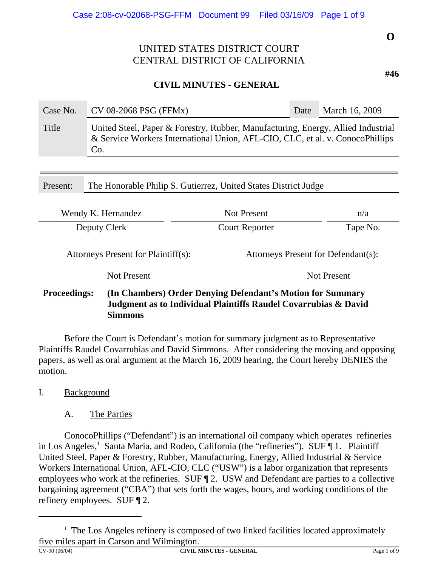## **CIVIL MINUTES - GENERAL**

| Case No. | $CV$ 08-2068 PSG (FFMx)                                                                                                                                                  | Date | March 16, 2009 |  |  |
|----------|--------------------------------------------------------------------------------------------------------------------------------------------------------------------------|------|----------------|--|--|
| Title    | United Steel, Paper & Forestry, Rubber, Manufacturing, Energy, Allied Industrial<br>& Service Workers International Union, AFL-CIO, CLC, et al. v. ConocoPhillips<br>Co. |      |                |  |  |

Present: The Honorable Philip S. Gutierrez, United States District Judge

| Wendy K. Hernandez  |                                     | <b>Not Present</b>                                                                                                            | n/a                |  |
|---------------------|-------------------------------------|-------------------------------------------------------------------------------------------------------------------------------|--------------------|--|
| Deputy Clerk        |                                     | <b>Court Reporter</b>                                                                                                         | Tape No.           |  |
|                     | Attorneys Present for Plaintiff(s): | Attorneys Present for Defendant(s):                                                                                           |                    |  |
|                     | <b>Not Present</b>                  |                                                                                                                               | <b>Not Present</b> |  |
| <b>Proceedings:</b> | <b>Simmons</b>                      | (In Chambers) Order Denying Defendant's Motion for Summary<br>Judgment as to Individual Plaintiffs Raudel Covarrubias & David |                    |  |

 Before the Court is Defendant's motion for summary judgment as to Representative Plaintiffs Raudel Covarrubias and David Simmons. After considering the moving and opposing papers, as well as oral argument at the March 16, 2009 hearing, the Court hereby DENIES the motion.

## I. Background

### A. The Parties

ConocoPhillips ("Defendant") is an international oil company which operates refineries in Los Angeles,<sup>1</sup> Santa Maria, and Rodeo, California (the "refineries"). SUF 1. Plaintiff United Steel, Paper & Forestry, Rubber, Manufacturing, Energy, Allied Industrial & Service Workers International Union, AFL-CIO, CLC ("USW") is a labor organization that represents employees who work at the refineries. SUF ¶ 2. USW and Defendant are parties to a collective bargaining agreement ("CBA") that sets forth the wages, hours, and working conditions of the refinery employees. SUF ¶ 2.

**CIVIL MINUTES - GENERAL Page 1 of 9** 

<sup>&</sup>lt;sup>1</sup> The Los Angeles refinery is composed of two linked facilities located approximately five miles apart in Carson and Wilmington.<br> $\frac{C V - 90 (06/04)}{C V I L N}$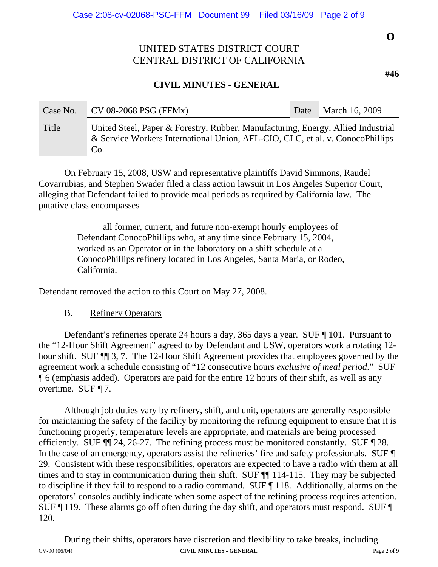## **CIVIL MINUTES - GENERAL**

| Case No. | $CV$ 08-2068 PSG (FFMx)                                                                                                                                                  | Date | March 16, 2009 |
|----------|--------------------------------------------------------------------------------------------------------------------------------------------------------------------------|------|----------------|
| Title    | United Steel, Paper & Forestry, Rubber, Manufacturing, Energy, Allied Industrial<br>& Service Workers International Union, AFL-CIO, CLC, et al. v. ConocoPhillips<br>Co. |      |                |

On February 15, 2008, USW and representative plaintiffs David Simmons, Raudel Covarrubias, and Stephen Swader filed a class action lawsuit in Los Angeles Superior Court, alleging that Defendant failed to provide meal periods as required by California law. The putative class encompasses

> all former, current, and future non-exempt hourly employees of Defendant ConocoPhillips who, at any time since February 15, 2004, worked as an Operator or in the laboratory on a shift schedule at a ConocoPhillips refinery located in Los Angeles, Santa Maria, or Rodeo, California.

Defendant removed the action to this Court on May 27, 2008.

## B. Refinery Operators

Defendant's refineries operate 24 hours a day, 365 days a year. SUF ¶ 101. Pursuant to the "12-Hour Shift Agreement" agreed to by Defendant and USW, operators work a rotating 12 hour shift. SUF ¶¶ 3, 7. The 12-Hour Shift Agreement provides that employees governed by the agreement work a schedule consisting of "12 consecutive hours *exclusive of meal period*." SUF ¶ 6 (emphasis added). Operators are paid for the entire 12 hours of their shift, as well as any overtime. SUF ¶ 7.

Although job duties vary by refinery, shift, and unit, operators are generally responsible for maintaining the safety of the facility by monitoring the refining equipment to ensure that it is functioning properly, temperature levels are appropriate, and materials are being processed efficiently. SUF ¶¶ 24, 26-27. The refining process must be monitored constantly. SUF ¶ 28. In the case of an emergency, operators assist the refineries' fire and safety professionals. SUF ¶ 29. Consistent with these responsibilities, operators are expected to have a radio with them at all times and to stay in communication during their shift. SUF ¶¶ 114-115. They may be subjected to discipline if they fail to respond to a radio command. SUF ¶ 118. Additionally, alarms on the operators' consoles audibly indicate when some aspect of the refining process requires attention. SUF ¶ 119. These alarms go off often during the day shift, and operators must respond. SUF ¶ 120.

During their shifts, operators have discretion and flexibility to take breaks, including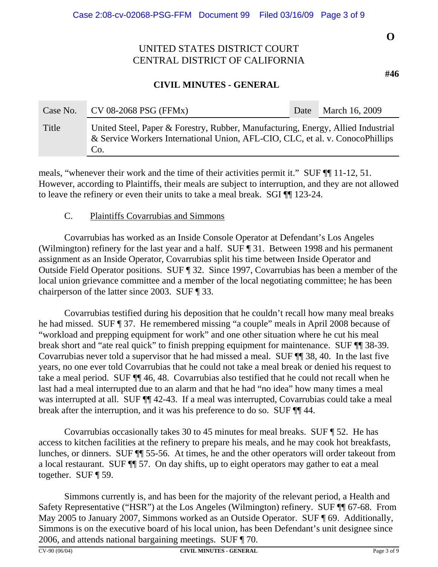## **CIVIL MINUTES - GENERAL**

| Case No. | $CV$ 08-2068 PSG (FFMx)                                                                                                                                                  | Date | March 16, 2009 |
|----------|--------------------------------------------------------------------------------------------------------------------------------------------------------------------------|------|----------------|
| Title    | United Steel, Paper & Forestry, Rubber, Manufacturing, Energy, Allied Industrial<br>& Service Workers International Union, AFL-CIO, CLC, et al. v. ConocoPhillips<br>Co. |      |                |

meals, "whenever their work and the time of their activities permit it." SUF  $\P$  11-12, 51. However, according to Plaintiffs, their meals are subject to interruption, and they are not allowed to leave the refinery or even their units to take a meal break. SGI ¶¶ 123-24.

### C. Plaintiffs Covarrubias and Simmons

Covarrubias has worked as an Inside Console Operator at Defendant's Los Angeles (Wilmington) refinery for the last year and a half. SUF ¶ 31. Between 1998 and his permanent assignment as an Inside Operator, Covarrubias split his time between Inside Operator and Outside Field Operator positions. SUF ¶ 32. Since 1997, Covarrubias has been a member of the local union grievance committee and a member of the local negotiating committee; he has been chairperson of the latter since 2003. SUF ¶ 33.

Covarrubias testified during his deposition that he couldn't recall how many meal breaks he had missed. SUF ¶ 37. He remembered missing "a couple" meals in April 2008 because of "workload and prepping equipment for work" and one other situation where he cut his meal break short and "ate real quick" to finish prepping equipment for maintenance. SUF ¶¶ 38-39. Covarrubias never told a supervisor that he had missed a meal. SUF ¶¶ 38, 40. In the last five years, no one ever told Covarrubias that he could not take a meal break or denied his request to take a meal period. SUF ¶¶ 46, 48. Covarrubias also testified that he could not recall when he last had a meal interrupted due to an alarm and that he had "no idea" how many times a meal was interrupted at all. SUF  $\P$  42-43. If a meal was interrupted, Covarrubias could take a meal break after the interruption, and it was his preference to do so. SUF ¶¶ 44.

Covarrubias occasionally takes 30 to 45 minutes for meal breaks. SUF ¶ 52. He has access to kitchen facilities at the refinery to prepare his meals, and he may cook hot breakfasts, lunches, or dinners. SUF ¶¶ 55-56. At times, he and the other operators will order takeout from a local restaurant. SUF ¶¶ 57. On day shifts, up to eight operators may gather to eat a meal together. SUF ¶ 59.

Simmons currently is, and has been for the majority of the relevant period, a Health and Safety Representative ("HSR") at the Los Angeles (Wilmington) refinery. SUF ¶¶ 67-68. From May 2005 to January 2007, Simmons worked as an Outside Operator. SUF ¶ 69. Additionally, Simmons is on the executive board of his local union, has been Defendant's unit designee since 2006, and attends national bargaining meetings. SUF ¶ 70.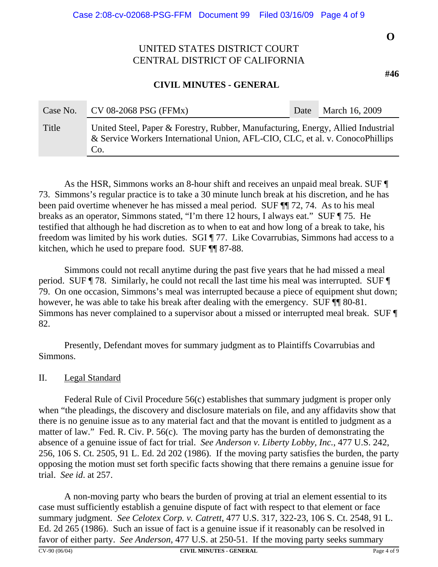### **CIVIL MINUTES - GENERAL**

| Case No. | $CV$ 08-2068 PSG (FFMx)                                                                                                                                                  | Date | March 16, 2009 |
|----------|--------------------------------------------------------------------------------------------------------------------------------------------------------------------------|------|----------------|
| Title    | United Steel, Paper & Forestry, Rubber, Manufacturing, Energy, Allied Industrial<br>& Service Workers International Union, AFL-CIO, CLC, et al. v. ConocoPhillips<br>Co. |      |                |

As the HSR, Simmons works an 8-hour shift and receives an unpaid meal break. SUF ¶ 73. Simmons's regular practice is to take a 30 minute lunch break at his discretion, and he has been paid overtime whenever he has missed a meal period. SUF  $\P$  72, 74. As to his meal breaks as an operator, Simmons stated, "I'm there 12 hours, I always eat." SUF ¶ 75. He testified that although he had discretion as to when to eat and how long of a break to take, his freedom was limited by his work duties. SGI ¶ 77. Like Covarrubias, Simmons had access to a kitchen, which he used to prepare food. SUF ¶¶ 87-88.

Simmons could not recall anytime during the past five years that he had missed a meal period. SUF ¶ 78. Similarly, he could not recall the last time his meal was interrupted. SUF ¶ 79. On one occasion, Simmons's meal was interrupted because a piece of equipment shut down; however, he was able to take his break after dealing with the emergency. SUF  $\P$  80-81. Simmons has never complained to a supervisor about a missed or interrupted meal break. SUF ¶ 82.

Presently, Defendant moves for summary judgment as to Plaintiffs Covarrubias and Simmons.

### II. Legal Standard

Federal Rule of Civil Procedure 56(c) establishes that summary judgment is proper only when "the pleadings, the discovery and disclosure materials on file, and any affidavits show that there is no genuine issue as to any material fact and that the movant is entitled to judgment as a matter of law." Fed. R. Civ. P. 56(c). The moving party has the burden of demonstrating the absence of a genuine issue of fact for trial. *See Anderson v. Liberty Lobby, Inc.*, 477 U.S. 242, 256, 106 S. Ct. 2505, 91 L. Ed. 2d 202 (1986). If the moving party satisfies the burden, the party opposing the motion must set forth specific facts showing that there remains a genuine issue for trial. *See id*. at 257.

A non-moving party who bears the burden of proving at trial an element essential to its case must sufficiently establish a genuine dispute of fact with respect to that element or face summary judgment. *See Celotex Corp. v. Catrett*, 477 U.S. 317, 322-23, 106 S. Ct. 2548, 91 L. Ed. 2d 265 (1986). Such an issue of fact is a genuine issue if it reasonably can be resolved in favor of either party. *See Anderson*, 477 U.S. at 250-51. If the moving party seeks summary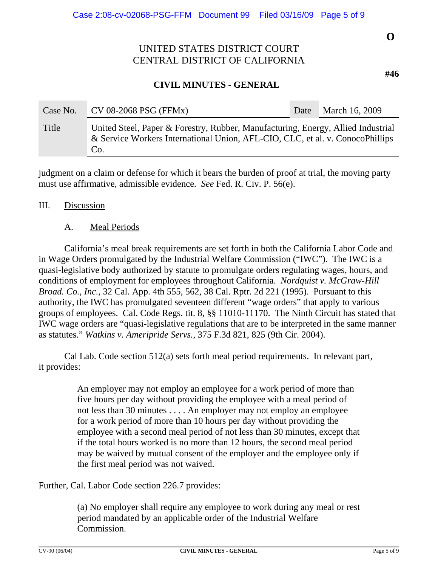## **CIVIL MINUTES - GENERAL**

| Case No. | $CV$ 08-2068 PSG (FFMx)                                                                                                                                                  | Date | March 16, 2009 |
|----------|--------------------------------------------------------------------------------------------------------------------------------------------------------------------------|------|----------------|
| Title    | United Steel, Paper & Forestry, Rubber, Manufacturing, Energy, Allied Industrial<br>& Service Workers International Union, AFL-CIO, CLC, et al. v. ConocoPhillips<br>Co. |      |                |

judgment on a claim or defense for which it bears the burden of proof at trial, the moving party must use affirmative, admissible evidence. *See* Fed. R. Civ. P. 56(e).

#### III. Discussion

### A. Meal Periods

California's meal break requirements are set forth in both the California Labor Code and in Wage Orders promulgated by the Industrial Welfare Commission ("IWC"). The IWC is a quasi-legislative body authorized by statute to promulgate orders regulating wages, hours, and conditions of employment for employees throughout California. *Nordquist v. McGraw-Hill Broad. Co., Inc.*, 32 Cal. App. 4th 555, 562, 38 Cal. Rptr. 2d 221 (1995). Pursuant to this authority, the IWC has promulgated seventeen different "wage orders" that apply to various groups of employees. Cal. Code Regs. tit. 8, §§ 11010-11170. The Ninth Circuit has stated that IWC wage orders are "quasi-legislative regulations that are to be interpreted in the same manner as statutes." *Watkins v. Ameripride Servs.,* 375 F.3d 821, 825 (9th Cir. 2004).

Cal Lab. Code section 512(a) sets forth meal period requirements. In relevant part, it provides:

> An employer may not employ an employee for a work period of more than five hours per day without providing the employee with a meal period of not less than 30 minutes . . . . An employer may not employ an employee for a work period of more than 10 hours per day without providing the employee with a second meal period of not less than 30 minutes, except that if the total hours worked is no more than 12 hours, the second meal period may be waived by mutual consent of the employer and the employee only if the first meal period was not waived.

Further, Cal. Labor Code section 226.7 provides:

(a) No employer shall require any employee to work during any meal or rest period mandated by an applicable order of the Industrial Welfare Commission.

**O**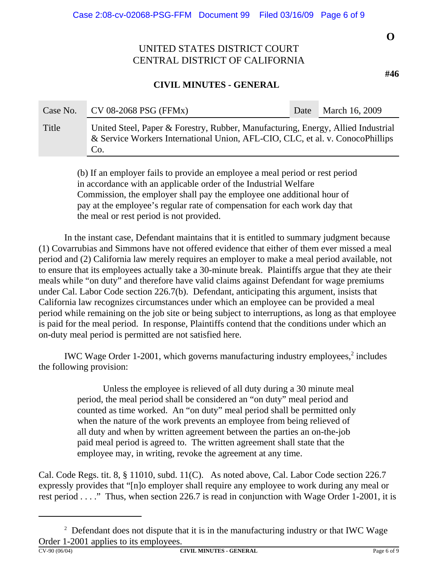## **CIVIL MINUTES - GENERAL**

| Case No. | $CV$ 08-2068 PSG (FFMx)                                                                                                                                                  | Date | March 16, 2009 |
|----------|--------------------------------------------------------------------------------------------------------------------------------------------------------------------------|------|----------------|
| Title    | United Steel, Paper & Forestry, Rubber, Manufacturing, Energy, Allied Industrial<br>& Service Workers International Union, AFL-CIO, CLC, et al. v. ConocoPhillips<br>Co. |      |                |

(b) If an employer fails to provide an employee a meal period or rest period in accordance with an applicable order of the Industrial Welfare Commission, the employer shall pay the employee one additional hour of pay at the employee's regular rate of compensation for each work day that the meal or rest period is not provided.

In the instant case, Defendant maintains that it is entitled to summary judgment because (1) Covarrubias and Simmons have not offered evidence that either of them ever missed a meal period and (2) California law merely requires an employer to make a meal period available, not to ensure that its employees actually take a 30-minute break. Plaintiffs argue that they ate their meals while "on duty" and therefore have valid claims against Defendant for wage premiums under Cal. Labor Code section 226.7(b). Defendant, anticipating this argument, insists that California law recognizes circumstances under which an employee can be provided a meal period while remaining on the job site or being subject to interruptions, as long as that employee is paid for the meal period. In response, Plaintiffs contend that the conditions under which an on-duty meal period is permitted are not satisfied here.

IWC Wage Order 1-2001, which governs manufacturing industry employees, $2$  includes the following provision:

> Unless the employee is relieved of all duty during a 30 minute meal period, the meal period shall be considered an "on duty" meal period and counted as time worked. An "on duty" meal period shall be permitted only when the nature of the work prevents an employee from being relieved of all duty and when by written agreement between the parties an on-the-job paid meal period is agreed to. The written agreement shall state that the employee may, in writing, revoke the agreement at any time.

Cal. Code Regs. tit. 8, § 11010, subd. 11(C). As noted above, Cal. Labor Code section 226.7 expressly provides that "[n]o employer shall require any employee to work during any meal or rest period . . . ." Thus, when section 226.7 is read in conjunction with Wage Order 1-2001, it is

**O**

<sup>&</sup>lt;sup>2</sup> Defendant does not dispute that it is in the manufacturing industry or that IWC Wage Order 1-2001 applies to its employees.<br> $\frac{\text{CV-90 (06/04)}}{\text{CV-90 (06/04)}}$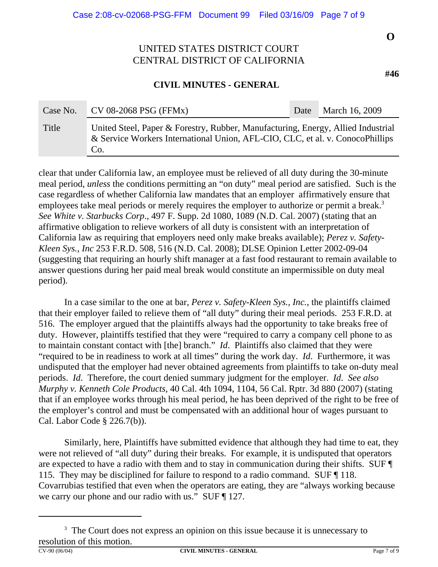### **CIVIL MINUTES - GENERAL**

| Case No. | $CV$ 08-2068 PSG (FFMx)                                                                                                                                                  | Date | March 16, 2009 |
|----------|--------------------------------------------------------------------------------------------------------------------------------------------------------------------------|------|----------------|
| Title    | United Steel, Paper & Forestry, Rubber, Manufacturing, Energy, Allied Industrial<br>& Service Workers International Union, AFL-CIO, CLC, et al. v. ConocoPhillips<br>Co. |      |                |

clear that under California law, an employee must be relieved of all duty during the 30-minute meal period, *unless* the conditions permitting an "on duty" meal period are satisfied. Such is the case regardless of whether California law mandates that an employer affirmatively ensure that employees take meal periods or merely requires the employer to authorize or permit a break.<sup>3</sup> *See White v. Starbucks Corp*., 497 F. Supp. 2d 1080, 1089 (N.D. Cal. 2007) (stating that an affirmative obligation to relieve workers of all duty is consistent with an interpretation of California law as requiring that employers need only make breaks available); *Perez v. Safety-Kleen Sys., Inc* 253 F.R.D. 508, 516 (N.D. Cal. 2008); DLSE Opinion Letter 2002-09-04 (suggesting that requiring an hourly shift manager at a fast food restaurant to remain available to answer questions during her paid meal break would constitute an impermissible on duty meal period).

In a case similar to the one at bar, *Perez v. Safety-Kleen Sys., Inc.*, the plaintiffs claimed that their employer failed to relieve them of "all duty" during their meal periods. 253 F.R.D. at 516. The employer argued that the plaintiffs always had the opportunity to take breaks free of duty. However, plaintiffs testified that they were "required to carry a company cell phone to as to maintain constant contact with [the] branch." *Id*. Plaintiffs also claimed that they were "required to be in readiness to work at all times" during the work day. *Id*. Furthermore, it was undisputed that the employer had never obtained agreements from plaintiffs to take on-duty meal periods. *Id*. Therefore, the court denied summary judgment for the employer. *Id*. *See also Murphy v. Kenneth Cole Products,* 40 Cal. 4th 1094, 1104, 56 Cal. Rptr. 3d 880 (2007) (stating that if an employee works through his meal period, he has been deprived of the right to be free of the employer's control and must be compensated with an additional hour of wages pursuant to Cal. Labor Code § 226.7(b)).

Similarly, here, Plaintiffs have submitted evidence that although they had time to eat, they were not relieved of "all duty" during their breaks. For example, it is undisputed that operators are expected to have a radio with them and to stay in communication during their shifts. SUF ¶ 115. They may be disciplined for failure to respond to a radio command. SUF ¶ 118. Covarrubias testified that even when the operators are eating, they are "always working because we carry our phone and our radio with us." SUF ¶ 127.

<sup>&</sup>lt;sup>3</sup> The Court does not express an opinion on this issue because it is unnecessary to resolution of this motion.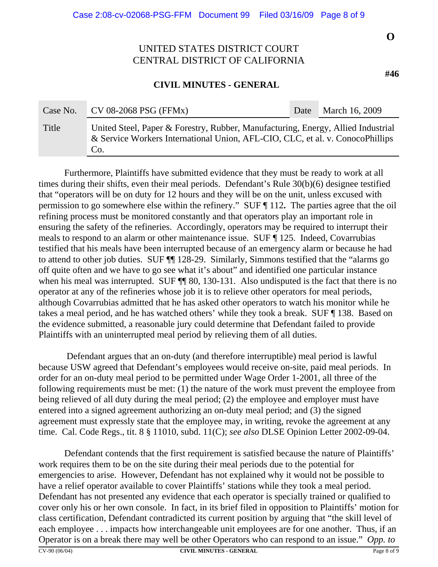### **CIVIL MINUTES - GENERAL**

| Case No. | $CV$ 08-2068 PSG (FFMx)                                                                                                                                                  | Date | March 16, 2009 |
|----------|--------------------------------------------------------------------------------------------------------------------------------------------------------------------------|------|----------------|
| Title    | United Steel, Paper & Forestry, Rubber, Manufacturing, Energy, Allied Industrial<br>& Service Workers International Union, AFL-CIO, CLC, et al. v. ConocoPhillips<br>Co. |      |                |

Furthermore, Plaintiffs have submitted evidence that they must be ready to work at all times during their shifts, even their meal periods. Defendant's Rule 30(b)(6) designee testified that "operators will be on duty for 12 hours and they will be on the unit, unless excused with permission to go somewhere else within the refinery." SUF ¶ 112**.** The parties agree that the oil refining process must be monitored constantly and that operators play an important role in ensuring the safety of the refineries. Accordingly, operators may be required to interrupt their meals to respond to an alarm or other maintenance issue. SUF ¶ 125. Indeed, Covarrubias testified that his meals have been interrupted because of an emergency alarm or because he had to attend to other job duties. SUF ¶¶ 128-29. Similarly, Simmons testified that the "alarms go off quite often and we have to go see what it's about" and identified one particular instance when his meal was interrupted. SUF  $\P$  80, 130-131. Also undisputed is the fact that there is no operator at any of the refineries whose job it is to relieve other operators for meal periods, although Covarrubias admitted that he has asked other operators to watch his monitor while he takes a meal period, and he has watched others' while they took a break. SUF ¶ 138. Based on the evidence submitted, a reasonable jury could determine that Defendant failed to provide Plaintiffs with an uninterrupted meal period by relieving them of all duties.

 Defendant argues that an on-duty (and therefore interruptible) meal period is lawful because USW agreed that Defendant's employees would receive on-site, paid meal periods. In order for an on-duty meal period to be permitted under Wage Order 1-2001, all three of the following requirements must be met: (1) the nature of the work must prevent the employee from being relieved of all duty during the meal period; (2) the employee and employer must have entered into a signed agreement authorizing an on-duty meal period; and (3) the signed agreement must expressly state that the employee may, in writing, revoke the agreement at any time. Cal. Code Regs., tit. 8 § 11010, subd. 11(C); *see also* DLSE Opinion Letter 2002-09-04.

Defendant contends that the first requirement is satisfied because the nature of Plaintiffs' work requires them to be on the site during their meal periods due to the potential for emergencies to arise. However, Defendant has not explained why it would not be possible to have a relief operator available to cover Plaintiffs' stations while they took a meal period. Defendant has not presented any evidence that each operator is specially trained or qualified to cover only his or her own console. In fact, in its brief filed in opposition to Plaintiffs' motion for class certification, Defendant contradicted its current position by arguing that "the skill level of each employee . . . impacts how interchangeable unit employees are for one another. Thus, if an Operator is on a break there may well be other Operators who can respond to an issue." *Opp. to*